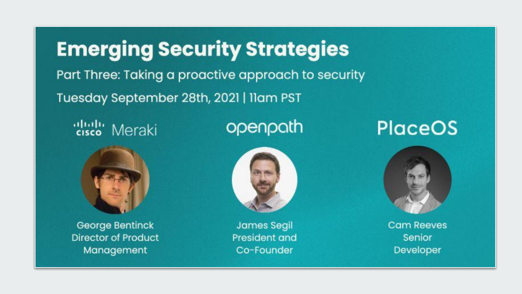**Emerging Security Strategies** Part Three: Taking a proactive approach to security Tuesday September 28th, 2021 | Ilam PST

alulu Meraki

# openpath

# **PlaceOS**



George Bentinck **Director of Product** Management



**James Segil** President and Co-Founder

**Cam Reeves** Senior Developer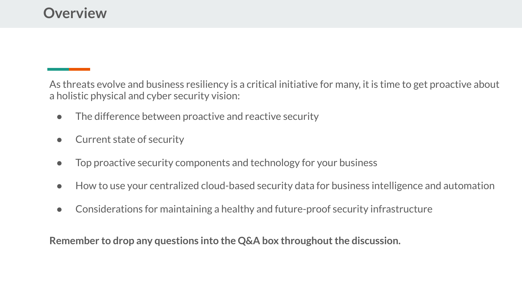As threats evolve and business resiliency is a critical initiative for many, it is time to get proactive about a holistic physical and cyber security vision:

- The difference between proactive and reactive security
- Current state of security
- Top proactive security components and technology for your business
- How to use your centralized cloud-based security data for business intelligence and automation
- Considerations for maintaining a healthy and future-proof security infrastructure

**Remember to drop any questions into the Q&A box throughout the discussion.**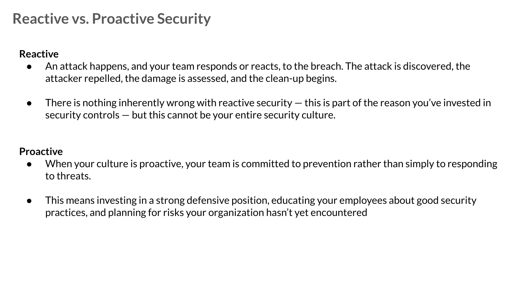## **Reactive vs. Proactive Security**

## **Reactive**

- An attack happens, and your team responds or reacts, to the breach. The attack is discovered, the attacker repelled, the damage is assessed, and the clean-up begins.
- $\bullet$  There is nothing inherently wrong with reactive security  $-$  this is part of the reason you've invested in security controls — but this cannot be your entire security culture.

### **Proactive**

- When your culture is proactive, your team is committed to prevention rather than simply to responding to threats.
- This means investing in a strong defensive position, [educating your employees](https://securityscorecard.com/blog/5-ways-to-engage-employees-during-national-cybersecurity-awareness-month) about good security practices, and planning for risks your organization hasn't yet encountered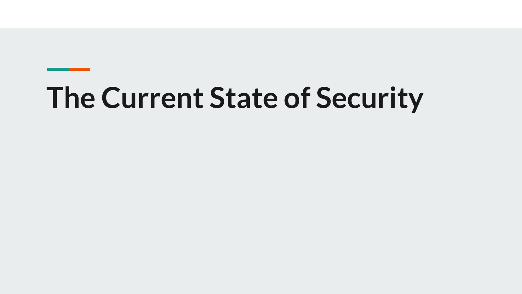# **The Current State of Security**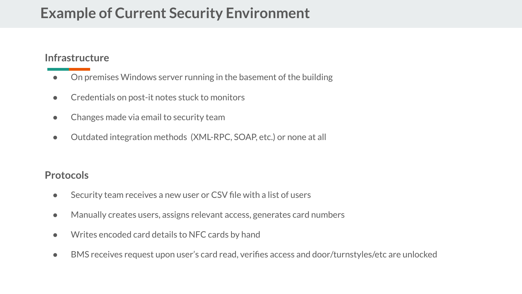## **Example of Current Security Environment**

### **Infrastructure**

- On premises Windows server running in the basement of the building
- Credentials on post-it notes stuck to monitors
- Changes made via email to security team
- Outdated integration methods (XML-RPC, SOAP, etc.) or none at all

### **Protocols**

- Security team receives a new user or CSV file with a list of users
- Manually creates users, assigns relevant access, generates card numbers
- Writes encoded card details to NFC cards by hand
- BMS receives request upon user's card read, verifies access and door/turnstyles/etc are unlocked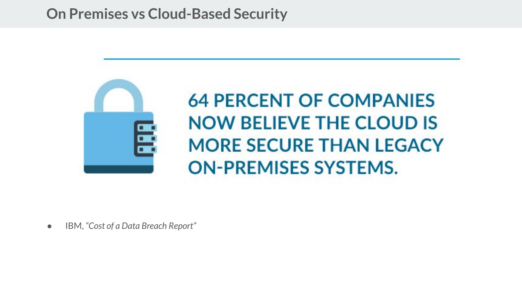## **On Premises vs Cloud-Based Security**



● IBM, *"Cost of a Data Breach Report"*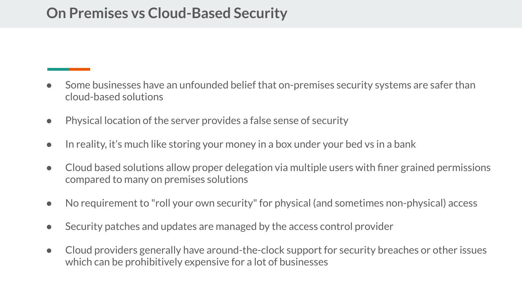## **On Premises vs Cloud-Based Security**

- Some businesses have an unfounded belief that on-premises security systems are safer than cloud-based solutions
- Physical location of the server provides a false sense of security
- In reality, it's much like storing your money in a box under your bed vs in a bank
- Cloud based solutions allow proper delegation via multiple users with finer grained permissions compared to many on premises solutions
- No requirement to "roll your own security" for physical (and sometimes non-physical) access
- Security patches and updates are managed by the access control provider
- Cloud providers generally have around-the-clock support for security breaches or other issues which can be prohibitively expensive for a lot of businesses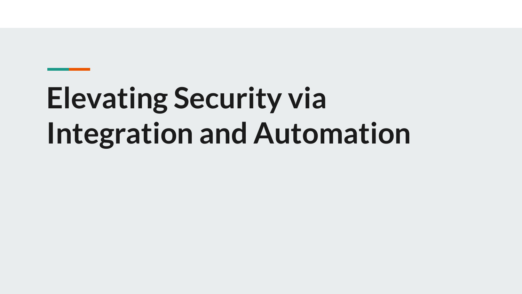# **Elevating Security via Integration and Automation**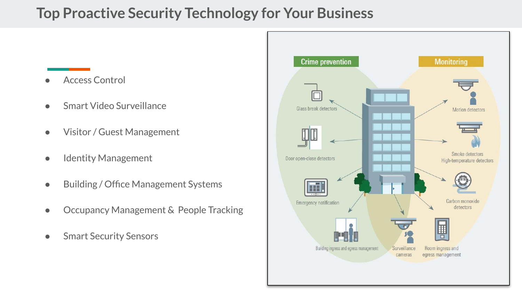## **Top Proactive Security Technology for Your Business**

- **Access Control**
- Smart Video Surveillance
- Visitor / Guest Management
- Identity Management
- Building / Office Management Systems
- Occupancy Management & People Tracking
- **•** Smart Security Sensors

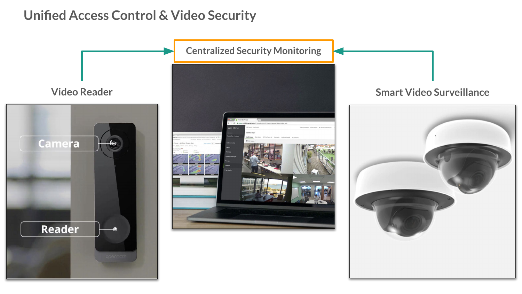## **Unified Access Control & Video Security**

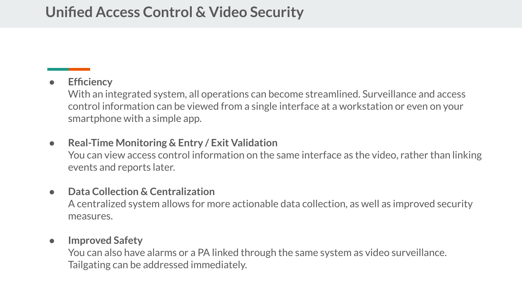## **Unified Access Control & Video Security**

## ● **Efficiency**

With an integrated system, all operations can become streamlined. Surveillance and access control information can be viewed from a single interface at a workstation or even on your smartphone with a simple app.

● **Real-Time Monitoring & Entry / Exit Validation** You can view access control information on the same interface as the video, rather than linking events and reports later.

### ● **Data Collection & Centralization**

A centralized system allows for more actionable data collection, as well as improved security measures.

### ● **Improved Safety**

You can also have alarms or a PA linked through the same system as video surveillance. Tailgating can be addressed immediately.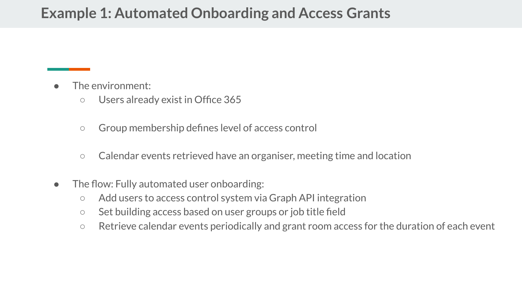## **Example 1: Automated Onboarding and Access Grants**

- The environment:
	- Users already exist in Office 365
	- Group membership defines level of access control
	- Calendar events retrieved have an organiser, meeting time and location
- The flow: Fully automated user onboarding:
	- Add users to access control system via Graph API integration
	- Set building access based on user groups or job title field
	- Retrieve calendar events periodically and grant room access for the duration of each event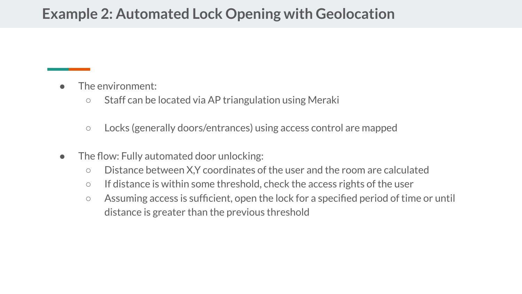## **Example 2: Automated Lock Opening with Geolocation**

- The environment:
	- Staff can be located via AP triangulation using Meraki
	- Locks (generally doors/entrances) using access control are mapped
- The flow: Fully automated door unlocking:
	- Distance between X,Y coordinates of the user and the room are calculated
	- If distance is within some threshold, check the access rights of the user
	- Assuming access is sufficient, open the lock for a specified period of time or until distance is greater than the previous threshold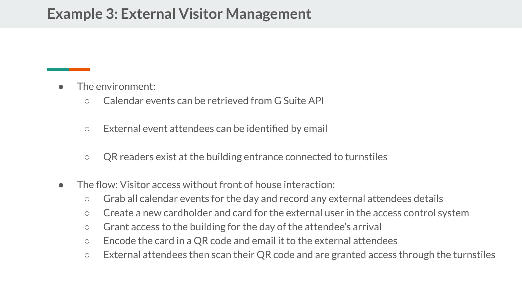## **Example 3: External Visitor Management**

- The environment:
	- Calendar events can be retrieved from G Suite API
	- External event attendees can be identified by email
	- QR readers exist at the building entrance connected to turnstiles
- The flow: Visitor access without front of house interaction:
	- Grab all calendar events for the day and record any external attendees details
	- Create a new cardholder and card for the external user in the access control system
	- Grant access to the building for the day of the attendee's arrival
	- Encode the card in a QR code and email it to the external attendees
	- External attendees then scan their QR code and are granted access through the turnstiles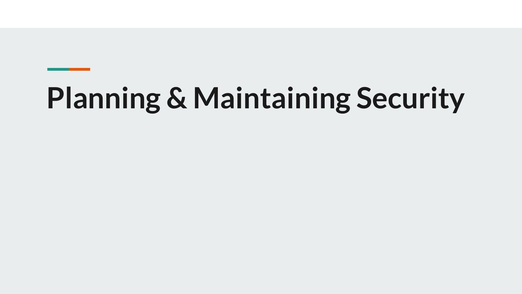# **Planning & Maintaining Security**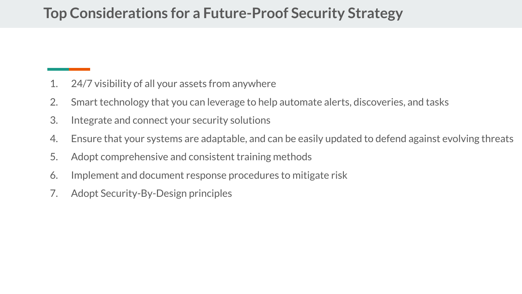## **Top Considerations for a Future-Proof Security Strategy**

- 1. 24/7 visibility of all your assets from anywhere
- 2. Smart technology that you can leverage to help automate alerts, discoveries, and tasks
- 3. Integrate and connect your security solutions
- 4. Ensure that your systems are adaptable, and can be easily updated to defend against evolving threats
- 5. Adopt comprehensive and consistent training methods
- 6. Implement and document response procedures to mitigate risk
- 7. Adopt Security-By-Design principles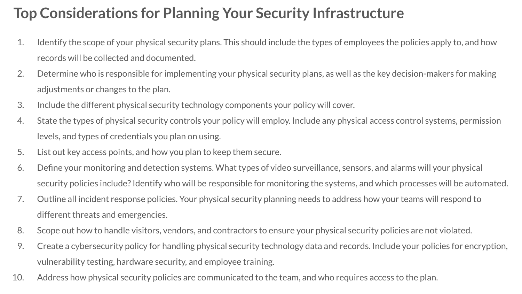# **Top Considerations for Planning Your Security Infrastructure**

- 1. Identify the scope of your physical security plans. This should include the types of employees the policies apply to, and how records will be collected and documented.
- 2. Determine who is responsible for implementing your physical security plans, as well as the key decision-makers for making adjustments or changes to the plan.
- 3. Include the different physical security technology components your policy will cover.
- 4. State the types of physical security controls your policy will employ. Include any physical access control systems, permission levels, and types of credentials you plan on using.
- 5. List out key access points, and how you plan to keep them secure.
- 6. Define your monitoring and detection systems. What types of video surveillance, sensors, and alarms will your physical security policies include? Identify who will be responsible for monitoring the systems, and which processes will be automated.
- 7. Outline all incident response policies. Your physical security planning needs to address how your teams will respond to different threats and emergencies.
- 8. Scope out how to handle visitors, vendors, and contractors to ensure your physical security policies are not violated.
- 9. Create a cybersecurity policy for handling physical security technology data and records. Include your policies for encryption, vulnerability testing, hardware security, and employee training.
- 10. Address how physical security policies are communicated to the team, and who requires access to the plan.